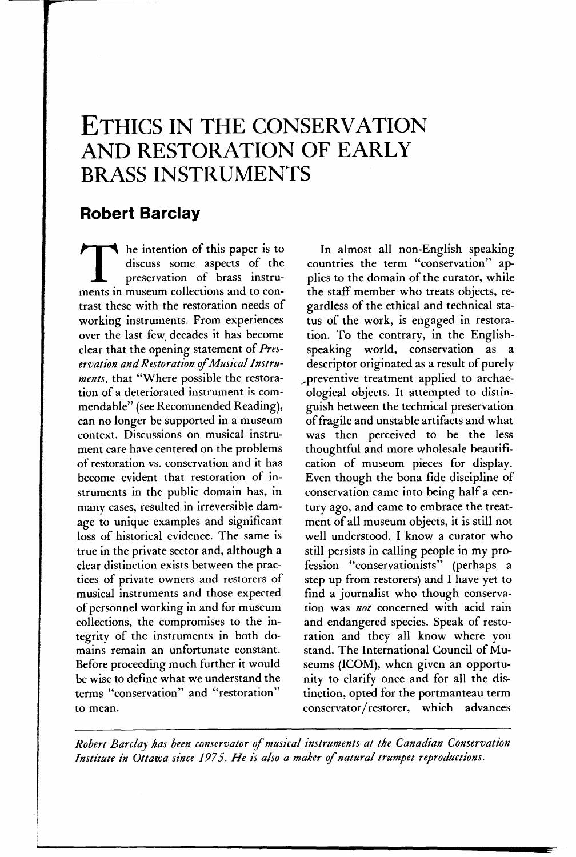# **ETHICS IN THE CONSERVATION AND RESTORATION OF EARLY BRASS INSTRUMENTS**

### **Robert Barclay**

The intention of this paper is to discuss some aspects of the preservation of brass instruments in museum collections and to condiscuss some aspects of the preservation of brass instrutrast these with the restoration needs of working instruments. From experiences over the last few. decades it has become clear that the opening statement of *Preservation and Restoration* of *Musical Instruments,* that "Where possible the restoration of a deteriorated instrument is commendable" (see Recommended Reading), can no longer be supported in a museum context. Discussions on musical instrument care have centered on the problems of restoration vs. conservation and it has become evident that restoration of instruments in the public domain has, in many cases, resulted in irreversible damage to unique examples and significant loss of historical evidence. The same is true in the private sector and, although a clear distinction exists between the practices of private owners and restorers of musical instruments and those expected of personnel working in and for museum collections, the compromises to the integrity of the instruments in both domains remain an unfortunate constant. Before proceeding much further it would be wise to define what we understand the terms "conservation" and "restoration" to mean.

In almost all non-English speaking countries the term "conservation" applies to the domain of the curator, while the staff member who treats objects, regardless of the ethical and technical status of the work, is engaged in restoration. To the contrary, in the Englishspeaking world, conservation as a descriptor originated as a result of purely ,,preventive treatment applied to archaeological objects. It attempted to distinguish between the technical preservation of fragile and unstable artifacts and what was then perceived to be the less thoughtful and more wholesale beautification of museum pieces for display. Even though the bona fide discipline of conservation came into being half a century ago, and came to embrace the treatment of all museum objects, it is still not well understood. I know a curator who still persists in calling people in my profession "conservationists" (perhaps a step up from restorers) and I have yet to find a journalist who though conservation was *not* concerned with acid rain and endangered species. Speak of restoration and they all know where you stand. The International Council of Museums (ICOM), when given an opportunity to clarify once and for all the distinction, opted for the portmanteau term conservator/restorer, which advances

*Robert Barclay has been conservator* of *musical instruments at the Canadian Conservation*  Institute in Ottawa since 1975. He is also a maker of natural trumpet reproductions.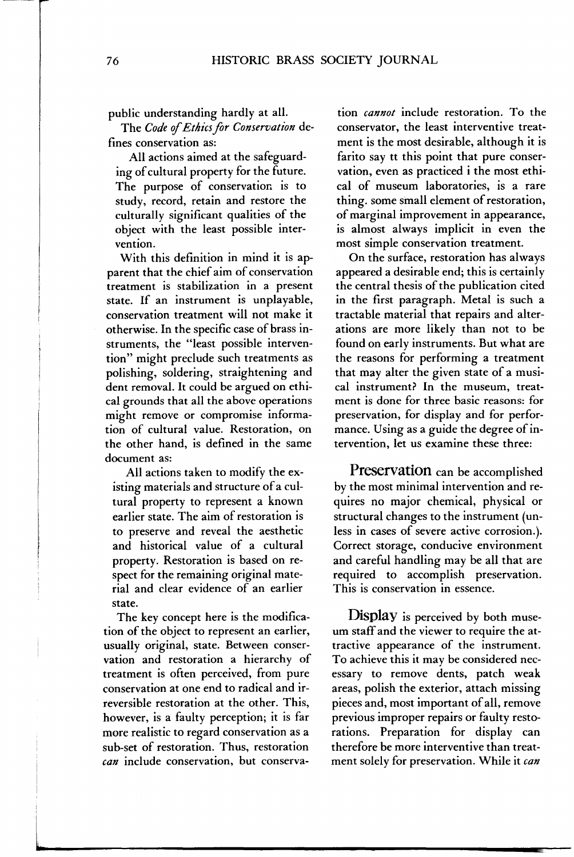public understanding hardly at all.

The *Code* of *Ethics far Conservation* defines conservation as:

All actions aimed at the safeguarding of cultural property for the future. The purpose of conservatior. is to study, record, retain and restore the culturally significant qualities of the object with the least possible intervention.

With this definition in mind it is apparent that the chief aim of conservation treatment is stabilization in a present state. If an instrument is unplayable, conservation treatment will not make it otherwise. In the specific case of brass instruments, the "least possible intervention" might preclude such treatments as polishing, soldering, straightening and dent removal. It could be argued on ethical grounds that all the above operations might remove or compromise information of cultural value. Restoration, on the other hand, is defined in the same document as:

All actions taken to modify the existing materials and structure of a cultural property to represent a known earlier state. The aim of restoration is to preserve and reveal the aesthetic and historical value of a cultural property. Restoration is based on respect for the remaining original material and clear evidence of an earlier state.

The key concept here is the modification of the object to represent an earlier, usually original, state. Between conservation and restoration a hierarchy of treatment is often perceived, from pure conservation at one end to radical and irreversible restoration at the other. This, however, is a faulty perception; it is far more realistic to regard conservation as a sub-set of restoration. Thus, restoration *can* include conservation, but conserva-

tion *cannot* include restoration. To the conservator, the least interventive treatment is the most desirable, although it is farito say tt this point that pure conservation, even as practiced i the most ethical of museum laboratories, is a rare thing. some small element of restoration, of marginal improvement in appearance, is almost always implicit in even the most simple conservation treatment.

On the surface, restoration has always appeared a desirable end; this is certainly the central thesis of the publication cited in the first paragraph. Metal is such a tractable material that repairs and alterations are more likely than not to be found on early instruments. But what are the reasons for performing a treatment that may alter the given state of a musical instrument? In the museum, treatment is done for three basic reasons: for preservation, for display and for performance. Using as a guide the degree of intervention, let us examine these three:

**Preservation** can be accomplished by the most minimal intervention and requires no major chemical, physical or structural changes to the instrument (unless in cases of severe active corrosion.)· Correct storage, conducive environment and careful handling may be all that are required to accomplish preservation. This is conservation in essence.

**Display** is perceived by both museum staff and the viewer to require the attractive appearance of the instrument. To achieve this it may be considered necessary to remove dents, patch weak areas, polish the exterior, attach missing pieces and, most important of all, remove previous improper repairs or faulty restorations. Preparation for display can therefore be more interventive than treatment solely for preservation. While it *can*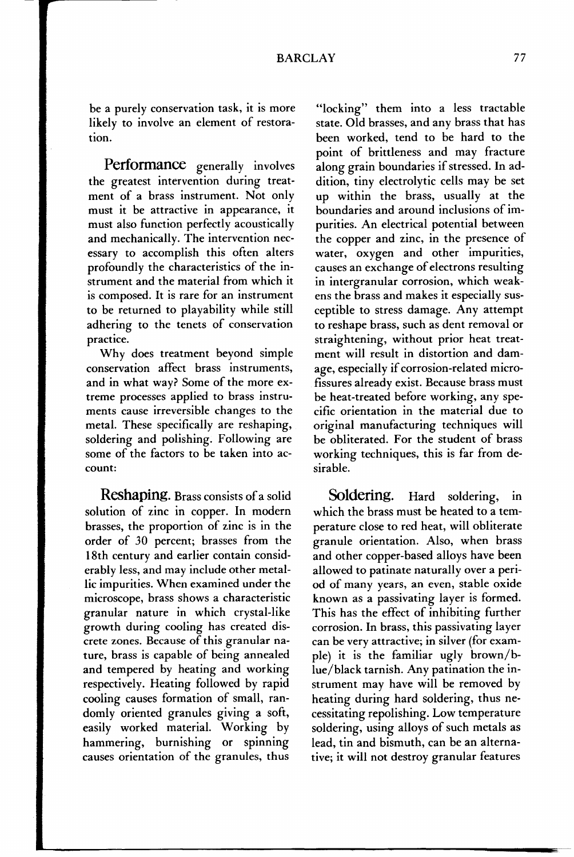be a purely conservation task, it is more likely to involve an element of restoration.

**Performance** generally involves the greatest intervention during treatment of a brass instrument. Not only must it be attractive in appearance, it must also function perfectly acoustically and mechanically. The intervention necessary to accomplish this often alters profoundly the characteristics of the instrument and the material from which it is composed. It is rare for an instrument to be returned to playability while still adhering to the tenets of conservation practice.

Why does treatment beyond simple conservation affect brass instruments, and in what way? Some of the more extreme processes applied to brass instruments cause irreversible changes to the metal. These specifically are reshaping, soldering and polishing. Following are some of the factors to be taken into account:

**Reshaping.** Brass consists of a solid solution of zinc in copper. In modern brasses, the proportion of zinc is in the order of *30* percent; brasses from the 18th century and earlier contain considerably less, and may include other metallic impurities. When examined under the microscope, brass shows a characteristic granular nature in which crystal-like growth during cooling has created discrete zones. Because of this granular nature, brass is capable of being annealed and tempered by heating and working respectively. Heating followed by rapid cooling causes formation of small, randomly oriented granules giving a soft, easily worked material. Working by hammering, burnishing or spinning causes orientation of the granules, thus

"locking" them into a less tractable state. Old brasses, and any brass that has been worked, tend to be hard to the point of brittleness and may fracture along grain boundaries if stressed. In addition, tiny electrolytic cells may be set up within the brass, usually at the boundaries and around inclusions of impurities. An electrical potential between the copper and zinc, in the presence of water, oxygen and other impurities, causes an exchange of electrons resulting in intergranular corrosion, which weakens the brass and makes it especially susceptible to stress damage. Any attempt to reshape brass, such as dent removal or straightening, without prior heat treatment will result in distortion and damage, especially if corrosion-related microfissures already exist. Because brass must be heat-treated before working, any specific orientation in the material due to original manufacturing techniques will be obliterated. For the student of brass working techniques, this is far from desirable.

**Soldering.** Hard soldering, in which the brass must be heated to a temperature close to red heat, will obliterate granule orientation. Also, when brass and other copper-based alloys have been allowed to patinate naturally over a period of many years, an even, stable oxide known as a passivating layer is formed. This has the effect of inhibiting further corrosion. In brass, this passivating layer can be very attractive; in silver (for example) it is the familiar ugly brown/blue/black tarnish. Any patination the instrument may have will be removed by heating during hard soldering, thus necessitating repolishing. Low temperature soldering, using alloys of such metals as lead, tin and bismuth, can be an alternative; it will not destroy granular features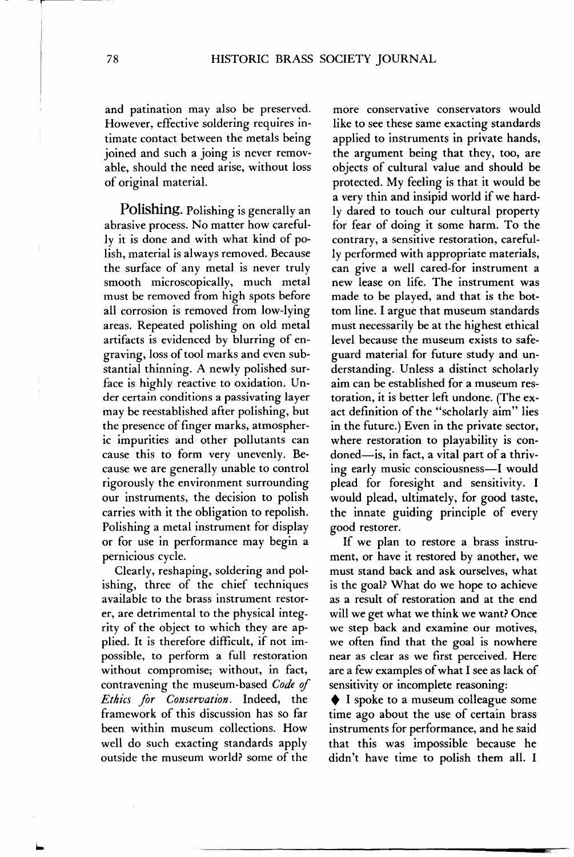and patination may also be preserved. However, effective soldering requires intimate contact between the metals being joined and such a joing is never removable, should the need arise, without loss of original material.

Polishing. Polishing is generally an abrasive process. No matter how carefully it is done and with what kind of polish, material is always removed. Because the surface of any metal is never truly smooth microscopically, much metal must be removed from high spots before all corrosion is removed from low-lying areas. Repeated polishing on old metal artifacts is evidenced by blurring of engraving, loss of tool marks and even substantial thinning. A newly polished surface is highly reactive to oxidation. Under certain conditions a passivating layer may be reestablished after polishing, but the presence of finger marks, atmospheric impurities and other pollutants can cause this to form very unevenly. Because we are generally unable to control rigorously the environment surrounding our instruments, the decision to polish carries with it the obligation to repolish. Polishing a metal instrument for display or for use in performance may begin a pernicious cycle.

Clearly, reshaping, soldering and polishing, three of the chief techniques available to the brass instrument restorer, are detrimental to the physical integrity of the object to which they are applied. It is therefore difficult, if not impossible, to perform a full restoration without compromise; without, in fact, contravening the museum-based *Code of Ethics far Conservation.* Indeed, the framework of this discussion has so far been within museum collections. How well do such exacting standards apply outside the museum world? some of the

more conservative conservators would like to see these same exacting standards applied to instruments in private hands, the argument being that they, too, are objects of cultural value and should be protected. My feeling is that it would be a very thin and insipid world if we hardly dared to touch our cultural property for fear of doing it some harm. To the contrary, a sensitive restoration, carefully performed with appropriate materials, can give a well cared-for instrument a new lease on life. The instrument was made to be played, and that is the bottom line. I argue that museum standards must necessarily be at the highest ethical level because the museum exists to safeguard material for future study and understanding. Unless a distinct scholarly aim can be established for a museum restoration, it is better left undone. (The exact definition of the "scholarly aim" lies in the future.) Even in the private sector, where restoration to playability is condoned—is, in fact, a vital part of a thriving early music consciousness-I would plead for foresight and sensitivity. I would plead, ultimately, for good taste, the innate guiding principle of every good restorer.

If we plan to restore a brass instrument, or have it restored by another, we must stand back and ask ourselves, what is the goal? What do we hope to achieve as a result of restoration and at the end will we get what we think we want? Once we step back and examine our motives, we often find that the goal is nowhere near as clear as we first perceived. Here are a few examples of what I see as lack of sensitivity or incomplete reasoning:

♦ I spoke to a museum colleague some time ago about the use of certain brass instruments for performance, and he said that this was impossible because he didn't have time to polish them all. I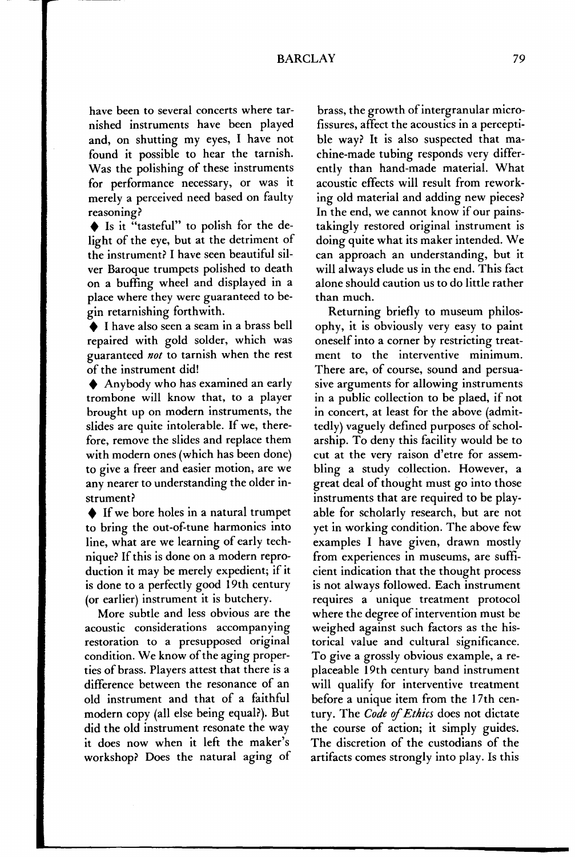#### BARCLAY 79

have been to several concerts where tarnished instruments have been played and, on shutting my eyes, I have not found it possible to hear the tarnish. Was the polishing of these instruments for performance necessary, or was it merely a perceived need based on faulty reasoning?

+ Is it "tasteful" to polish for the delight of the eye, but at the detriment of the instrument? I have seen beautiful silver Baroque trumpets polished to death on a buffing wheel and displayed in a place where they were guaranteed to begin retarnishing forthwith.

◆ I have also seen a seam in a brass bell repaired with gold solder, which was guaranteed *not* to tarnish when the rest of the instrument did!

♦ Anybody who has examined an early trombone will know that, to a player brought up on modern instruments, the slides are quite intolerable. If we, therefore, remove the slides and replace them with modern ones (which has been done) to give a freer and easier motion, are we any nearer to understanding the older instrument?

 $\blacklozenge$  If we bore holes in a natural trumpet to bring the out-of-tune harmonics into line, what are we learning of early technique? If this is done on a modern reproduction it may be merely expedient; if it is done to a perfectly good 19th century (or earlier) instrument it is butchery.

More subtle and less obvious are the acoustic considerations accompanying restoration to a presupposed original condition. We know of the aging properties of brass. Players attest that there is a difference between the resonance of an old instrument and that of a faithful modern copy (all else being equal?). But did the old instrument resonate the way it does now when it left the maker's workshop? Does the natural aging of

brass, the growth of intergranular microfissures, affect the acoustics in a perceptible way? It is also suspected that machine-made tubing responds very differently than hand-made material. What acoustic effects will result from reworking old material and adding new pieces? In the end, we cannot know if our painstakingly restored original instrument is doing quite what its maker intended. We can approach an understanding, but it will always elude us in the end. This fact alone should caution us to do little rather than much.

Returning briefly to museum philosophy, it is obviously very easy to paint oneself into a corner by restricting treatment to the interventive minimum. There are, of course, sound and persuasive arguments for allowing instruments in a public collection to be plaed, if not in concert, at least for the above (admittedly) vaguely defined purposes of scholarship. To deny this facility would be to cut at the very raison d'etre for assembling a study collection. However, a great deal of thought must go into those instruments that are required to be playable for scholarly research, but are not yet in working condition. The above few examples I have given, drawn mostly from experiences in museums, are sufficient indication that the thought process is not always followed. Each instrument requires a unique treatment protocol where the degree of intervention must be weighed against such factors as the historical value and cultural significance. To give a grossly obvious example, a replaceable 19th century band instrument will qualify for interventive treatment before a unique item from the 17th century. The *Code* ef *Ethics* does not dictate the course of action; it simply guides. The discretion of the custodians of the artifacts comes strongly into play. Is this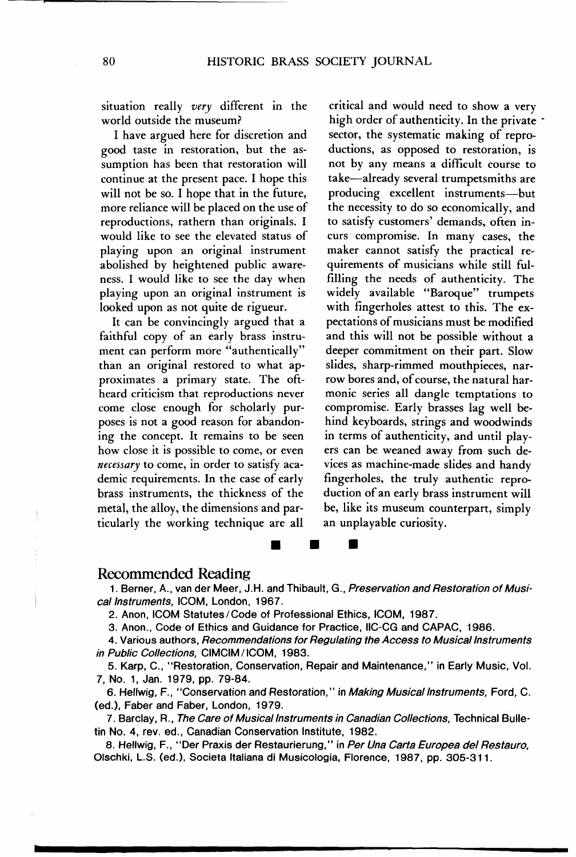situation really *very* different in the world outside the museum?

I have argued here for discretion and good taste in restoration, but the assumption has been that restoration will continue at the present pace. I hope this will not be so. I hope that in the future, more reliance will be placed on the use of reproductions, rathern than originals. I would like to see the elevated status of playing upon an original instrument abolished by heightened public awareness. I would like to see the day when playing upon an original instrument is looked upon as not quite de rigueur.

It can be convincingly argued that a faithful copy of an early brass instrument can perform more "authentically" than an original restored to what approximates a primary state. The oftheard criticism that reproductions never come close enough for scholarly purposes is not a good reason for abandoning the concept. It remains to be seen how close it is possible to come, or even *necessary* to come, in order to satisfy academic requirements. In the case of early brass instruments, the thickness of the metal, the alloy, the dimensions and particularly the working technique are all

critical and would need to show a very high order of authenticity. In the private sector, the systematic making of reproductions, as opposed to restoration, is not by any means a difficult course to take-already several trumpetsmiths are producing excellent instruments-but the necessity to do so economically, and to satisfy customers' demands, often incurs compromise. In many cases, the maker cannot satisfy the practical requirements of musicians while still fulfilling the needs of authenticity. The widely available "Baroque" trumpets with fingerholes attest to this. The expectations of musicians must be modified and this will not be possible without a deeper commitment on their part. Slow slides, sharp-rimmed mouthpieces, narrow bores and, of course, the natural harmonic series all dangle temptations to compromise. Early brasses lag well behind keyboards, strings and woodwinds in terms of authenticity, and until players can be weaned away from such devices as machine-made slides and handy fingerholes, the truly authentic reproduction of an early brass instrument will be, like its museum counterpart, simply an unplayable curiosity.

#### Recommended Reading

1. Berner, A., van der Meer, J.H. and Thibault, G., Preservation and Restoration of Musical Instruments, ICOM, London, 1967.

•

•

2. Anon, ICOM Statutes/Code of Professional Ethics, ICOM, 1987.

•

3. Anon., Code of Ethics and Guidance for Practice, llC-CG and CAPAC, 1986.

4. Various authors, Recommendations for Regulating the Access to Musical Instruments in Public Collections, CIMCIM / ICOM, 1983.

5. Karp, C., "Restoration, Conservation, Repair and Maintenance," in Early Music, Vol. 7, No. 1, Jan. 1979, pp. 79-84.

6. Hellwig, F., "Conservation and Restoration," in Making Musical Instruments, Ford, C. (ed.), Faber and Faber, London, 1979.

7. Barclay, R., The Care of Musical Instruments in Canadian Collections, Technical Bulletin No. 4, rev. ed., Canadian Conservation Institute, 1982.

8. Hellwig, F., "Der Praxis der Restaurierung," in Per Una Carta Europea del Restauro, Olschki, LS. (ed.), Societa Italians di Musicologia, Florence, 1987, pp. 305-311.